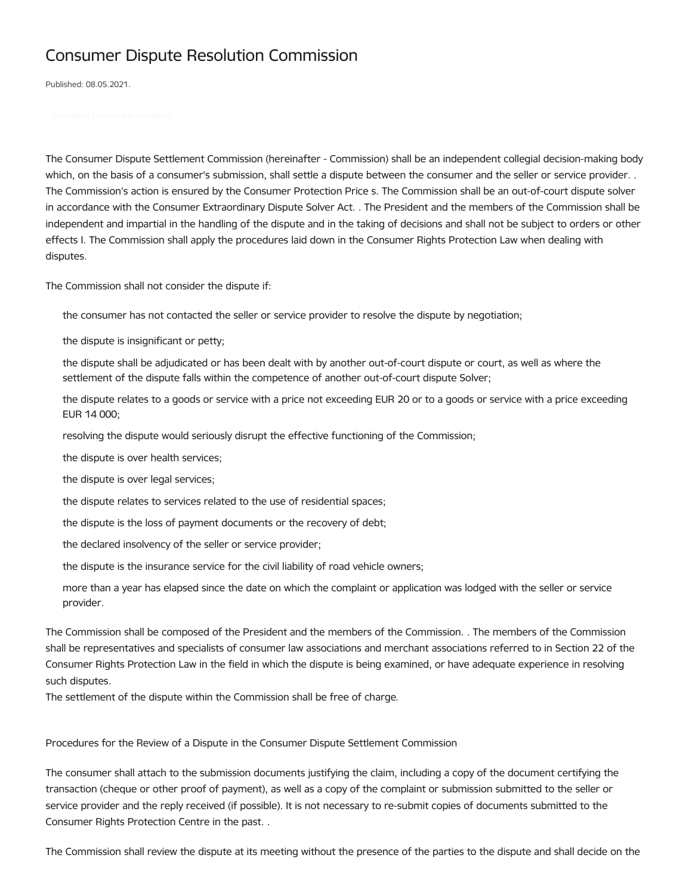## Consumer Dispute Resolution Commission

Published: 08.05.2021.

The Consumer Dispute Settlement Commission (hereinafter - Commission) shall be an independent collegial decision-making body which, on the basis of a consumer's submission, shall settle a dispute between the consumer and the seller or service provider. . The Commission's action is ensured by the Consumer Protection Price s. The Commission shall be an out-of-court dispute solver in accordance with the Consumer Extraordinary Dispute Solver Act. . The President and the members of the Commission shall be independent and impartial in the handling of the dispute and in the taking of decisions and shall not be subject to orders or other effects I. The Commission shall apply the procedures laid down in the Consumer Rights Protection Law when dealing with disputes.

The Commission shall not consider the dispute if:

the consumer has not contacted the seller or service provider to resolve the dispute by negotiation;

the dispute is insignificant or petty;

the dispute shall be adjudicated or has been dealt with by another out-of-court dispute or court, as well as where the settlement of the dispute falls within the competence of another out-of-court dispute Solver;

the dispute relates to a goods or service with a price not exceeding EUR 20 or to a goods or service with a price exceeding EUR 14 000;

resolving the dispute would seriously disrupt the effective functioning of the Commission;

the dispute is over health services;

the dispute is over legal services;

the dispute relates to services related to the use of residential spaces;

the dispute is the loss of payment documents or the recovery of debt;

the declared insolvency of the seller or service provider;

the dispute is the insurance service for the civil liability of road vehicle owners;

more than a year has elapsed since the date on which the complaint or application was lodged with the seller or service provider.

The Commission shall be composed of the President and the members of the Commission. . The members of the Commission shall be representatives and specialists of consumer law associations and merchant associations referred to in Section 22 of the Consumer Rights Protection Law in the field in which the dispute is being examined, or have adequate experience in resolving such disputes.

The settlement of the dispute within the Commission shall be free of charge.

Procedures for the Review of a Dispute in the Consumer Dispute Settlement Commission

The consumer shall attach to the submission documents justifying the claim, including a copy of the document certifying the transaction (cheque or other proof of payment), as well as a copy of the complaint or submission submitted to the seller or service provider and the reply received (if possible). It is not necessary to re-submit copies of documents submitted to the Consumer Rights Protection Centre in the past. .

The Commission shall review the dispute at its meeting without the presence of the parties to the dispute and shall decide on the